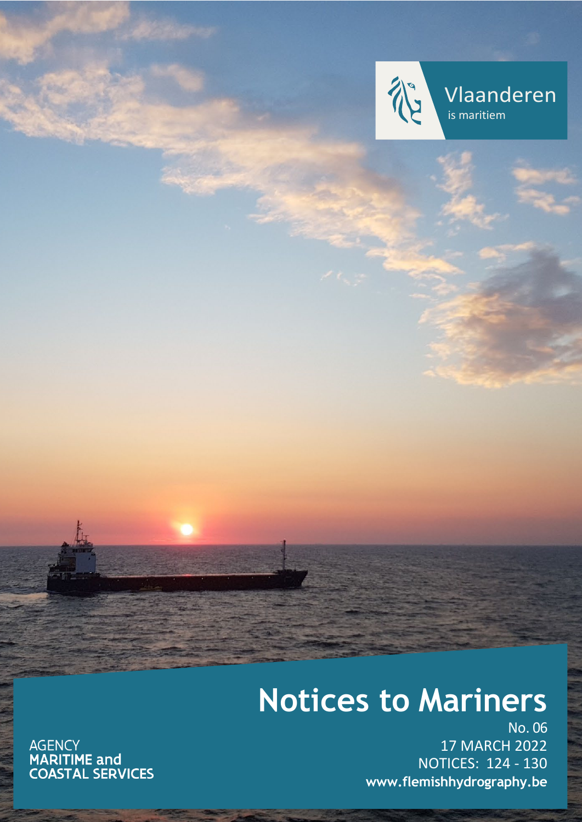

Vlaanderen is maritiem

# **Notices to Mariners**

AGENCY<br>**MARITIME and<br>COASTAL SERVICES** 

No. 06 17 MARCH 2022 NOTICES: 124 - 130 **[www.flemishhydrography.be](http://www.flemishhydrography.be/)**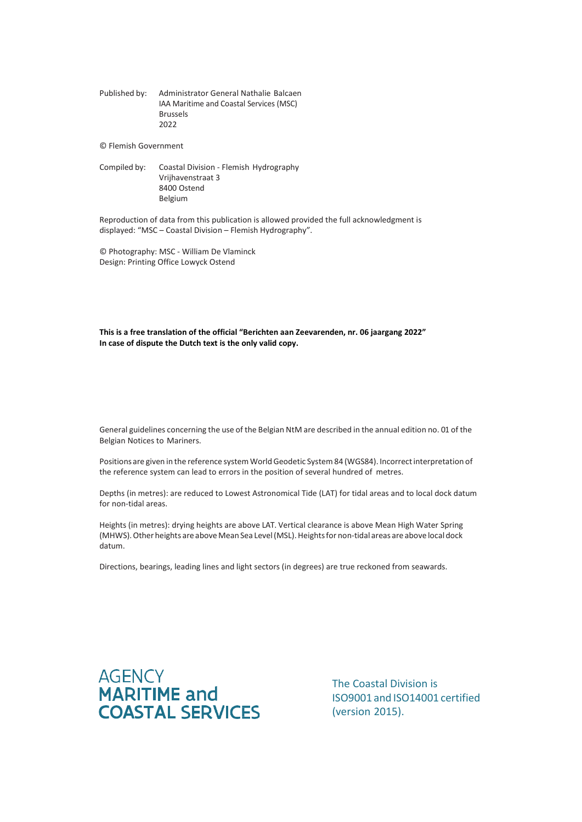Published by: Administrator General Nathalie Balcaen IAA Maritime and Coastal Services (MSC) Brussels 2022

© Flemish Government

Compiled by: Coastal Division - Flemish Hydrography Vrijhavenstraat 3 8400 Ostend Belgium

Reproduction of data from this publication is allowed provided the full acknowledgment is displayed: "MSC – Coastal Division – Flemish Hydrography".

© Photography: MSC - William De Vlaminck Design: Printing Office Lowyck Ostend

**This is a free translation of the official "Berichten aan Zeevarenden, nr. 06 jaargang 2022" In case of dispute the Dutch text is the only valid copy.**

General guidelines concerning the use of the Belgian NtM are described in the annual edition no. 01 of the Belgian Notices to Mariners.

Positions are given in the reference system World Geodetic System 84 (WGS84). Incorrect interpretation of the reference system can lead to errors in the position of several hundred of metres.

Depths (in metres): are reduced to Lowest Astronomical Tide (LAT) for tidal areas and to local dock datum for non-tidal areas.

Heights (in metres): drying heights are above LAT. Vertical clearance is above Mean High Water Spring (MHWS). Other heights are above Mean Sea Level (MSL). Heights for non-tidal areas are above local dock datum.

Directions, bearings, leading lines and light sectors (in degrees) are true reckoned from seawards.



The Coastal Division is ISO9001 and ISO14001 certified (version 2015).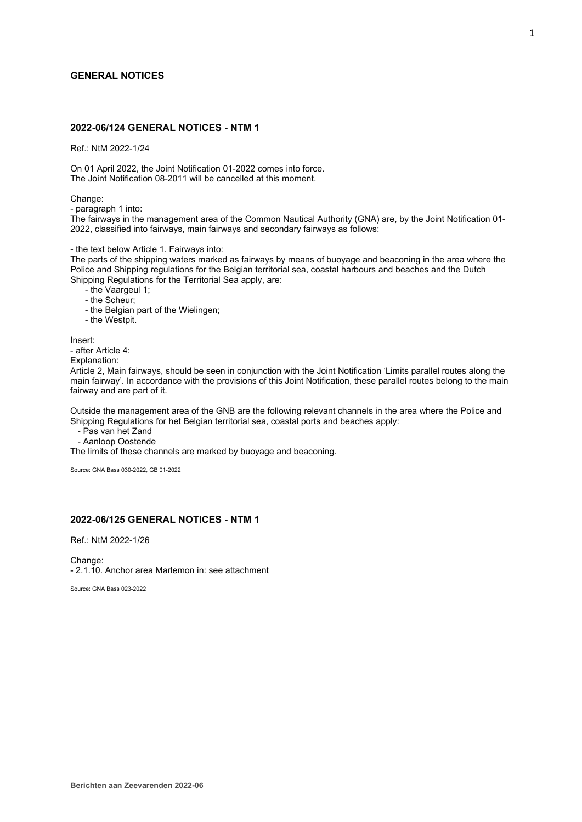## **GENERAL NOTICES**

# **2022-06/124 GENERAL NOTICES - NTM 1**

Ref.: NtM 2022-1/24

On 01 April 2022, the Joint Notification 01-2022 comes into force. The Joint Notification 08-2011 will be cancelled at this moment.

Change:

- paragraph 1 into:

The fairways in the management area of the Common Nautical Authority (GNA) are, by the Joint Notification 01- 2022, classified into fairways, main fairways and secondary fairways as follows:

- the text below Article 1. Fairways into:

The parts of the shipping waters marked as fairways by means of buoyage and beaconing in the area where the Police and Shipping regulations for the Belgian territorial sea, coastal harbours and beaches and the Dutch Shipping Regulations for the Territorial Sea apply, are:

- the Vaargeul 1;

- the Scheur;

- the Belgian part of the Wielingen;

- the Westpit.

Insert:

- after Article 4:

Explanation:

Article 2, Main fairways, should be seen in conjunction with the Joint Notification 'Limits parallel routes along the main fairway'. In accordance with the provisions of this Joint Notification, these parallel routes belong to the main fairway and are part of it.

Outside the management area of the GNB are the following relevant channels in the area where the Police and Shipping Regulations for het Belgian territorial sea, coastal ports and beaches apply:

- Pas van het Zand

- Aanloop Oostende

The limits of these channels are marked by buoyage and beaconing.

Source: GNA Bass 030-2022, GB 01-2022

# **2022-06/125 GENERAL NOTICES - NTM 1**

Ref.: NtM 2022-1/26

Change: - 2.1.10. Anchor area Marlemon in: see attachment

Source: GNA Bass 023-2022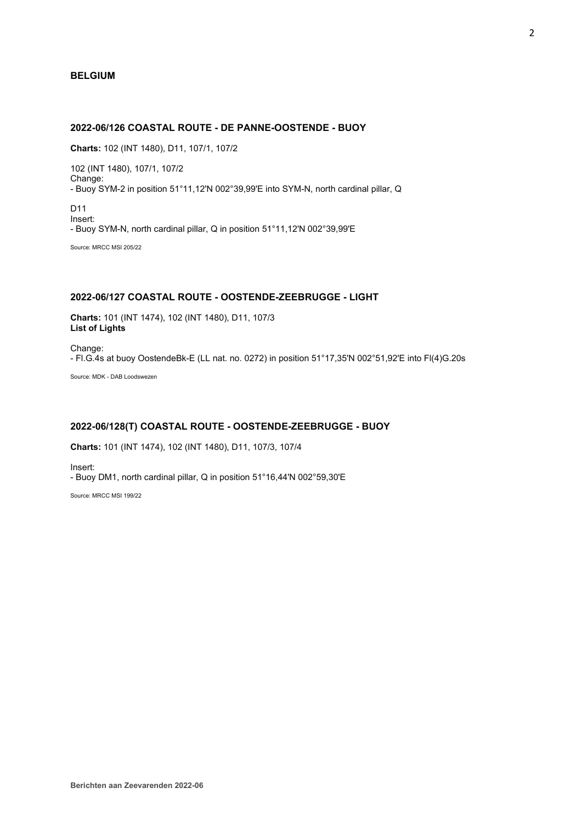## **BELGIUM**

# **2022-06/126 COASTAL ROUTE - DE PANNE-OOSTENDE - BUOY**

**Charts:** 102 (INT 1480), D11, 107/1, 107/2

102 (INT 1480), 107/1, 107/2 Change: - Buoy SYM-2 in position 51°11,12'N 002°39,99'E into SYM-N, north cardinal pillar, Q

D11 Insert: - Buoy SYM-N, north cardinal pillar, Q in position 51°11,12'N 002°39,99'E

Source: MRCC MSI 205/22

# **2022-06/127 COASTAL ROUTE - OOSTENDE-ZEEBRUGGE - LIGHT**

**Charts:** 101 (INT 1474), 102 (INT 1480), D11, 107/3 **List of Lights**

Change: - Fl.G.4s at buoy OostendeBk-E (LL nat. no. 0272) in position 51°17,35'N 002°51,92'E into Fl(4)G.20s

Source: MDK - DAB Loodswezen

# **2022-06/128(T) COASTAL ROUTE - OOSTENDE-ZEEBRUGGE - BUOY**

**Charts:** 101 (INT 1474), 102 (INT 1480), D11, 107/3, 107/4

Insert: - Buoy DM1, north cardinal pillar, Q in position 51°16,44'N 002°59,30'E

Source: MRCC MSI 199/22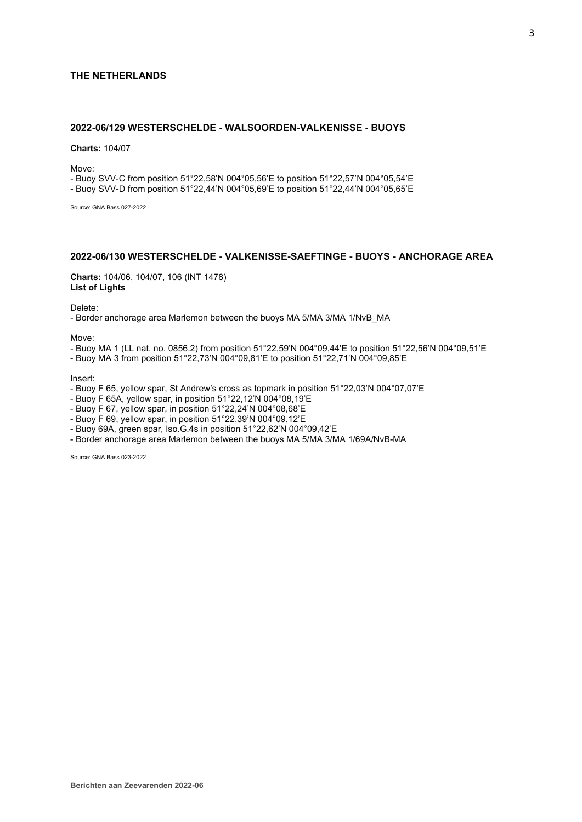## **THE NETHERLANDS**

# **2022-06/129 WESTERSCHELDE - WALSOORDEN-VALKENISSE - BUOYS**

**Charts:** 104/07

Move:

- Buoy SVV-C from position 51°22,58'N 004°05,56'E to position 51°22,57'N 004°05,54'E

- Buoy SVV-D from position 51°22,44'N 004°05,69'E to position 51°22,44'N 004°05,65'E

Source: GNA Bass 027-2022

# **2022-06/130 WESTERSCHELDE - VALKENISSE-SAEFTINGE - BUOYS - ANCHORAGE AREA**

**Charts:** 104/06, 104/07, 106 (INT 1478) **List of Lights**

Delete:

- Border anchorage area Marlemon between the buoys MA 5/MA 3/MA 1/NvB\_MA

Move:

- Buoy MA 1 (LL nat. no. 0856.2) from position 51°22,59'N 004°09,44'E to position 51°22,56'N 004°09,51'E
- Buoy MA 3 from position 51°22,73'N 004°09,81'E to position 51°22,71'N 004°09,85'E

Insert:

- Buoy F 65, yellow spar, St Andrew's cross as topmark in position 51°22,03'N 004°07,07'E
- Buoy F 65A, yellow spar, in position 51°22,12'N 004°08,19'E
- Buoy F 67, yellow spar, in position 51°22,24'N 004°08,68'E
- Buoy F 69, yellow spar, in position 51°22,39'N 004°09,12'E
- Buoy 69A, green spar, Iso.G.4s in position 51°22,62'N 004°09,42'E
- Border anchorage area Marlemon between the buoys MA 5/MA 3/MA 1/69A/NvB-MA

Source: GNA Bass 023-2022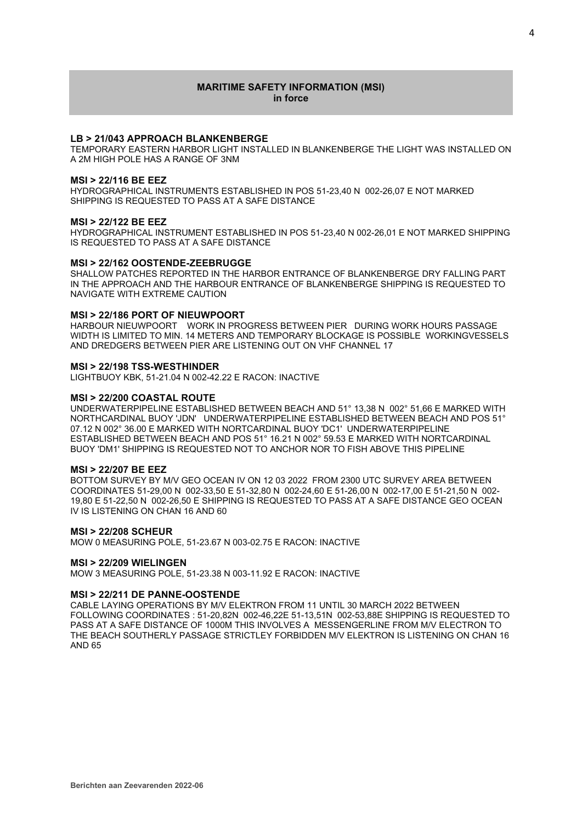## **MARITIME SAFETY INFORMATION (MSI) in force**

## **LB > 21/043 APPROACH BLANKENBERGE**

TEMPORARY EASTERN HARBOR LIGHT INSTALLED IN BLANKENBERGE THE LIGHT WAS INSTALLED ON A 2M HIGH POLE HAS A RANGE OF 3NM

#### **MSI > 22/116 BE EEZ**

HYDROGRAPHICAL INSTRUMENTS ESTABLISHED IN POS 51-23,40 N 002-26,07 E NOT MARKED SHIPPING IS REQUESTED TO PASS AT A SAFE DISTANCE

#### **MSI > 22/122 BE EEZ**

HYDROGRAPHICAL INSTRUMENT ESTABLISHED IN POS 51-23,40 N 002-26,01 E NOT MARKED SHIPPING IS REQUESTED TO PASS AT A SAFE DISTANCE

## **MSI > 22/162 OOSTENDE-ZEEBRUGGE**

SHALLOW PATCHES REPORTED IN THE HARBOR ENTRANCE OF BLANKENBERGE DRY FALLING PART IN THE APPROACH AND THE HARBOUR ENTRANCE OF BLANKENBERGE SHIPPING IS REQUESTED TO NAVIGATE WITH EXTREME CAUTION

### **MSI > 22/186 PORT OF NIEUWPOORT**

HARBOUR NIEUWPOORT WORK IN PROGRESS BETWEEN PIER DURING WORK HOURS PASSAGE WIDTH IS LIMITED TO MIN. 14 METERS AND TEMPORARY BLOCKAGE IS POSSIBLE WORKINGVESSELS AND DREDGERS BETWEEN PIER ARE LISTENING OUT ON VHF CHANNEL 17

## **MSI > 22/198 TSS-WESTHINDER**

LIGHTBUOY KBK, 51-21.04 N 002-42.22 E RACON: INACTIVE

## **MSI > 22/200 COASTAL ROUTE**

UNDERWATERPIPELINE ESTABLISHED BETWEEN BEACH AND 51° 13,38 N 002° 51,66 E MARKED WITH NORTHCARDINAL BUOY 'JDN' UNDERWATERPIPELINE ESTABLISHED BETWEEN BEACH AND POS 51° 07.12 N 002° 36.00 E MARKED WITH NORTCARDINAL BUOY 'DC1' UNDERWATERPIPELINE ESTABLISHED BETWEEN BEACH AND POS 51° 16.21 N 002° 59.53 E MARKED WITH NORTCARDINAL BUOY 'DM1' SHIPPING IS REQUESTED NOT TO ANCHOR NOR TO FISH ABOVE THIS PIPELINE

## **MSI > 22/207 BE EEZ**

BOTTOM SURVEY BY M/V GEO OCEAN IV ON 12 03 2022 FROM 2300 UTC SURVEY AREA BETWEEN COORDINATES 51-29,00 N 002-33,50 E 51-32,80 N 002-24,60 E 51-26,00 N 002-17,00 E 51-21,50 N 002- 19,80 E 51-22,50 N 002-26,50 E SHIPPING IS REQUESTED TO PASS AT A SAFE DISTANCE GEO OCEAN IV IS LISTENING ON CHAN 16 AND 60

## **MSI > 22/208 SCHEUR**

MOW 0 MEASURING POLE, 51-23.67 N 003-02.75 E RACON: INACTIVE

## **MSI > 22/209 WIELINGEN**

MOW 3 MEASURING POLE, 51-23.38 N 003-11.92 E RACON: INACTIVE

## **MSI > 22/211 DE PANNE-OOSTENDE**

CABLE LAYING OPERATIONS BY M/V ELEKTRON FROM 11 UNTIL 30 MARCH 2022 BETWEEN FOLLOWING COORDINATES : 51-20,82N 002-46,22E 51-13,51N 002-53,88E SHIPPING IS REQUESTED TO PASS AT A SAFE DISTANCE OF 1000M THIS INVOLVES A MESSENGERLINE FROM M/V ELECTRON TO THE BEACH SOUTHERLY PASSAGE STRICTLEY FORBIDDEN M/V ELEKTRON IS LISTENING ON CHAN 16 AND 65